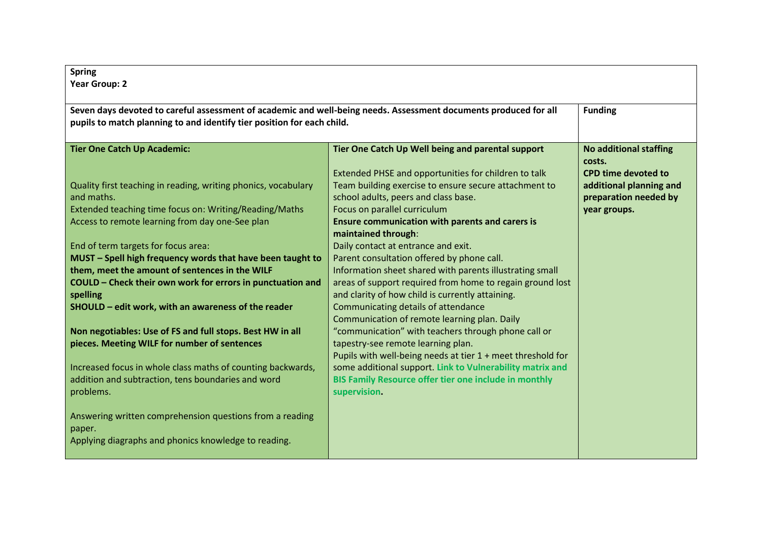| <b>Spring</b><br><b>Year Group: 2</b>                                                                                                                                                      |                                                                                                                                                                                                            |                                                                       |  |
|--------------------------------------------------------------------------------------------------------------------------------------------------------------------------------------------|------------------------------------------------------------------------------------------------------------------------------------------------------------------------------------------------------------|-----------------------------------------------------------------------|--|
| Seven days devoted to careful assessment of academic and well-being needs. Assessment documents produced for all<br>pupils to match planning to and identify tier position for each child. |                                                                                                                                                                                                            | <b>Funding</b>                                                        |  |
| <b>Tier One Catch Up Academic:</b>                                                                                                                                                         | Tier One Catch Up Well being and parental support<br>Extended PHSE and opportunities for children to talk                                                                                                  | <b>No additional staffing</b><br>costs.<br><b>CPD time devoted to</b> |  |
| Quality first teaching in reading, writing phonics, vocabulary<br>and maths.                                                                                                               | Team building exercise to ensure secure attachment to<br>school adults, peers and class base.                                                                                                              | additional planning and<br>preparation needed by                      |  |
| Extended teaching time focus on: Writing/Reading/Maths<br>Access to remote learning from day one-See plan                                                                                  | Focus on parallel curriculum<br><b>Ensure communication with parents and carers is</b><br>maintained through:                                                                                              | year groups.                                                          |  |
| End of term targets for focus area:<br>MUST - Spell high frequency words that have been taught to                                                                                          | Daily contact at entrance and exit.<br>Parent consultation offered by phone call.                                                                                                                          |                                                                       |  |
| them, meet the amount of sentences in the WILF                                                                                                                                             | Information sheet shared with parents illustrating small                                                                                                                                                   |                                                                       |  |
| COULD - Check their own work for errors in punctuation and<br>spelling                                                                                                                     | areas of support required from home to regain ground lost<br>and clarity of how child is currently attaining.                                                                                              |                                                                       |  |
| SHOULD - edit work, with an awareness of the reader                                                                                                                                        | Communicating details of attendance                                                                                                                                                                        |                                                                       |  |
| Non negotiables: Use of FS and full stops. Best HW in all<br>pieces. Meeting WILF for number of sentences                                                                                  | Communication of remote learning plan. Daily<br>"communication" with teachers through phone call or<br>tapestry-see remote learning plan.<br>Pupils with well-being needs at tier $1 +$ meet threshold for |                                                                       |  |
| Increased focus in whole class maths of counting backwards,<br>addition and subtraction, tens boundaries and word<br>problems.                                                             | some additional support. Link to Vulnerability matrix and<br>BIS Family Resource offer tier one include in monthly<br>supervision.                                                                         |                                                                       |  |
| Answering written comprehension questions from a reading<br>paper.<br>Applying diagraphs and phonics knowledge to reading.                                                                 |                                                                                                                                                                                                            |                                                                       |  |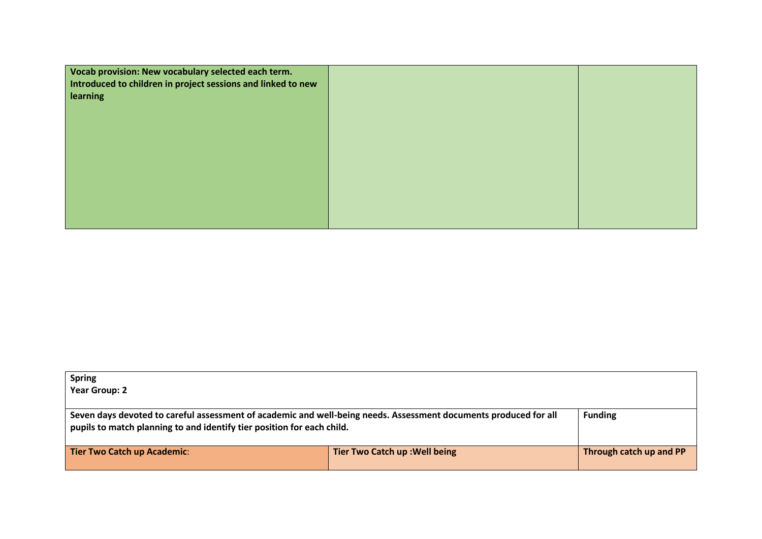| Vocab provision: New vocabulary selected each term.<br>Introduced to children in project sessions and linked to new |  |
|---------------------------------------------------------------------------------------------------------------------|--|
| learning                                                                                                            |  |
|                                                                                                                     |  |
|                                                                                                                     |  |
|                                                                                                                     |  |
|                                                                                                                     |  |
|                                                                                                                     |  |

| <b>Spring</b>                                                                                                                                                                              |                                |                         |
|--------------------------------------------------------------------------------------------------------------------------------------------------------------------------------------------|--------------------------------|-------------------------|
| <b>Year Group: 2</b>                                                                                                                                                                       |                                |                         |
|                                                                                                                                                                                            |                                |                         |
| Seven days devoted to careful assessment of academic and well-being needs. Assessment documents produced for all<br>pupils to match planning to and identify tier position for each child. |                                | <b>Funding</b>          |
| <b>Tier Two Catch up Academic:</b>                                                                                                                                                         | Tier Two Catch up : Well being | Through catch up and PP |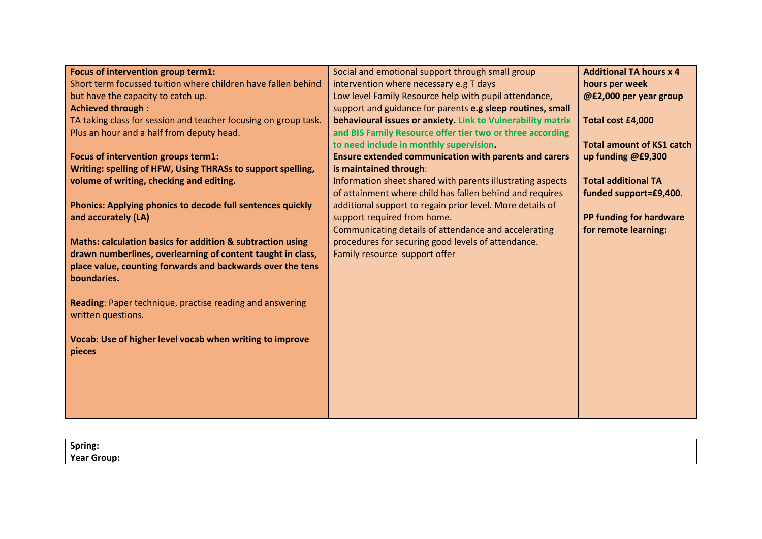| Focus of intervention group term1:                              | Social and emotional support through small group             | <b>Additional TA hours x 4</b>   |
|-----------------------------------------------------------------|--------------------------------------------------------------|----------------------------------|
| Short term focussed tuition where children have fallen behind   | intervention where necessary e.g T days                      | hours per week                   |
| but have the capacity to catch up.                              | Low level Family Resource help with pupil attendance,        | @£2,000 per year group           |
| <b>Achieved through:</b>                                        | support and guidance for parents e.g sleep routines, small   |                                  |
| TA taking class for session and teacher focusing on group task. | behavioural issues or anxiety. Link to Vulnerability matrix  | Total cost £4,000                |
| Plus an hour and a half from deputy head.                       | and BIS Family Resource offer tier two or three according    |                                  |
|                                                                 | to need include in monthly supervision.                      | <b>Total amount of KS1 catch</b> |
| Focus of intervention groups term1:                             | <b>Ensure extended communication with parents and carers</b> | up funding @£9,300               |
| Writing: spelling of HFW, Using THRASs to support spelling,     | is maintained through:                                       |                                  |
| volume of writing, checking and editing.                        | Information sheet shared with parents illustrating aspects   | <b>Total additional TA</b>       |
|                                                                 | of attainment where child has fallen behind and requires     | funded support=£9,400.           |
| Phonics: Applying phonics to decode full sentences quickly      | additional support to regain prior level. More details of    |                                  |
| and accurately (LA)                                             | support required from home.                                  | PP funding for hardware          |
|                                                                 | Communicating details of attendance and accelerating         | for remote learning:             |
| Maths: calculation basics for addition & subtraction using      | procedures for securing good levels of attendance.           |                                  |
| drawn numberlines, overlearning of content taught in class,     | Family resource support offer                                |                                  |
| place value, counting forwards and backwards over the tens      |                                                              |                                  |
| boundaries.                                                     |                                                              |                                  |
|                                                                 |                                                              |                                  |
| Reading: Paper technique, practise reading and answering        |                                                              |                                  |
| written questions.                                              |                                                              |                                  |
|                                                                 |                                                              |                                  |
| Vocab: Use of higher level vocab when writing to improve        |                                                              |                                  |
| pieces                                                          |                                                              |                                  |
|                                                                 |                                                              |                                  |
|                                                                 |                                                              |                                  |
|                                                                 |                                                              |                                  |
|                                                                 |                                                              |                                  |
|                                                                 |                                                              |                                  |

| Spring:            |  |
|--------------------|--|
| <b>Year Group:</b> |  |